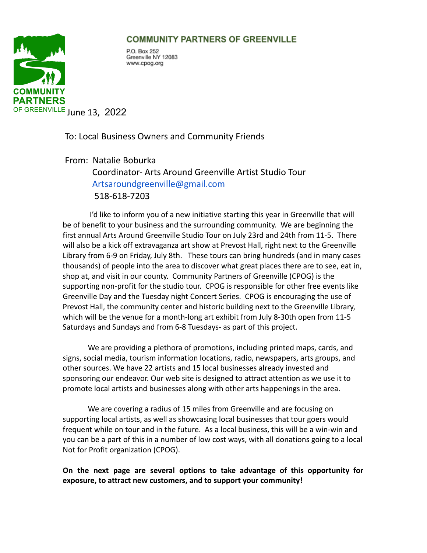## **COMMUNITY PARTNERS OF GREENVILLE**



P.O. Box 252 Greenville NY 12083 www.cpog.org

To: Local Business Owners and Community Friends

From: Natalie Boburka Coordinator- Arts Around Greenville Artist Studio Tour Artsaroundgreenville@gmail.com 518-618-7203

I'd like to inform you of a new initiative starting this year in Greenville that will be of benefit to your business and the surrounding community. We are beginning the first annual Arts Around Greenville Studio Tour on July 23rd and 24th from 11-5. There will also be a kick off extravaganza art show at Prevost Hall, right next to the Greenville Library from 6-9 on Friday, July 8th. These tours can bring hundreds (and in many cases thousands) of people into the area to discover what great places there are to see, eat in, shop at, and visit in our county. Community Partners of Greenville (CPOG) is the supporting non-profit for the studio tour. CPOG is responsible for other free events like Greenville Day and the Tuesday night Concert Series. CPOG is encouraging the use of Prevost Hall, the community center and historic building next to the Greenville Library, which will be the venue for a month-long art exhibit from July 8-30th open from 11-5 Saturdays and Sundays and from 6-8 Tuesdays- as part of this project.

We are providing a plethora of promotions, including printed maps, cards, and signs, social media, tourism information locations, radio, newspapers, arts groups, and other sources. We have 22 artists and 15 local businesses already invested and sponsoring our endeavor. Our web site is designed to attract attention as we use it to promote local artists and businesses along with other arts happenings in the area.

We are covering a radius of 15 miles from Greenville and are focusing on supporting local artists, as well as showcasing local businesses that tour goers would frequent while on tour and in the future. As a local business, this will be a win-win and you can be a part of this in a number of low cost ways, with all donations going to a local Not for Profit organization (CPOG).

**On the next page are several options to take advantage of this opportunity for exposure, to attract new customers, and to support your community!**